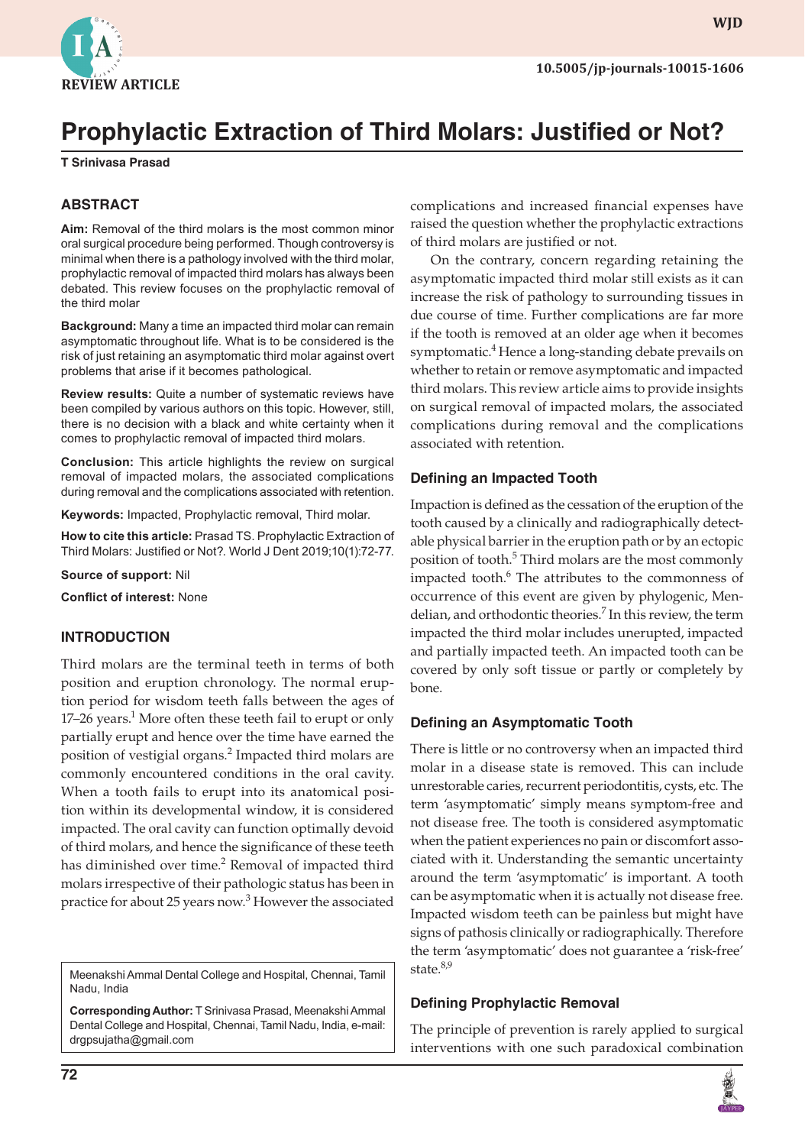

**WJD**

# **Prophylactic Extraction of Third Molars: Justified or Not?**

**T Srinivasa Prasad**

#### **ABSTRACT**

**Aim:** Removal of the third molars is the most common minor oral surgical procedure being performed. Though controversy is minimal when there is a pathology involved with the third molar, prophylactic removal of impacted third molars has always been debated. This review focuses on the prophylactic removal of the third molar

**Background:** Many a time an impacted third molar can remain asymptomatic throughout life. What is to be considered is the risk of just retaining an asymptomatic third molar against overt problems that arise if it becomes pathological.

**Review results:** Quite a number of systematic reviews have been compiled by various authors on this topic. However, still, there is no decision with a black and white certainty when it comes to prophylactic removal of impacted third molars.

**Conclusion:** This article highlights the review on surgical removal of impacted molars, the associated complications during removal and the complications associated with retention.

**Keywords:** Impacted, Prophylactic removal, Third molar.

**How to cite this article:** Prasad TS. Prophylactic Extraction of Third Molars: Justified or Not?. World J Dent 2019;10(1):72-77.

**Source of support:** Nil

**Conflict of interest:** None

#### **INTRODUCTION**

Third molars are the terminal teeth in terms of both position and eruption chronology. The normal eruption period for wisdom teeth falls between the ages of 17–26 years.<sup>1</sup> More often these teeth fail to erupt or only partially erupt and hence over the time have earned the position of vestigial organs.<sup>2</sup> Impacted third molars are commonly encountered conditions in the oral cavity. When a tooth fails to erupt into its anatomical position within its developmental window, it is considered impacted. The oral cavity can function optimally devoid of third molars, and hence the significance of these teeth has diminished over time.<sup>2</sup> Removal of impacted third molars irrespective of their pathologic status has been in practice for about 25 years now.<sup>3</sup> However the associated

Meenakshi Ammal Dental College and Hospital, Chennai, Tamil Nadu, India

**Corresponding Author:** T Srinivasa Prasad, Meenakshi Ammal Dental College and Hospital, Chennai, Tamil Nadu, India, e-mail: drgpsujatha@gmail.com

complications and increased financial expenses have raised the question whether the prophylactic extractions of third molars are justified or not.

On the contrary, concern regarding retaining the asymptomatic impacted third molar still exists as it can increase the risk of pathology to surrounding tissues in due course of time. Further complications are far more if the tooth is removed at an older age when it becomes symptomatic.<sup>4</sup> Hence a long-standing debate prevails on whether to retain or remove asymptomatic and impacted third molars. This review article aims to provide insights on surgical removal of impacted molars, the associated complications during removal and the complications associated with retention.

#### **Defining an Impacted Tooth**

Impaction is defined as the cessation of the eruption of the tooth caused by a clinically and radiographically detectable physical barrier in the eruption path or by an ectopic position of tooth.<sup>5</sup> Third molars are the most commonly impacted tooth.<sup>6</sup> The attributes to the commonness of occurrence of this event are given by phylogenic, Mendelian, and orthodontic theories.<sup>7</sup> In this review, the term impacted the third molar includes unerupted, impacted and partially impacted teeth. An impacted tooth can be covered by only soft tissue or partly or completely by bone.

#### **Defining an Asymptomatic Tooth**

There is little or no controversy when an impacted third molar in a disease state is removed. This can include unrestorable caries, recurrent periodontitis, cysts, etc. The term 'asymptomatic' simply means symptom-free and not disease free. The tooth is considered asymptomatic when the patient experiences no pain or discomfort associated with it. Understanding the semantic uncertainty around the term 'asymptomatic' is important. A tooth can be asymptomatic when it is actually not disease free. Impacted wisdom teeth can be painless but might have signs of pathosis clinically or radiographically. Therefore the term 'asymptomatic' does not guarantee a 'risk-free' state.<sup>8,9</sup>

#### **Defining Prophylactic Removal**

The principle of prevention is rarely applied to surgical interventions with one such paradoxical combination

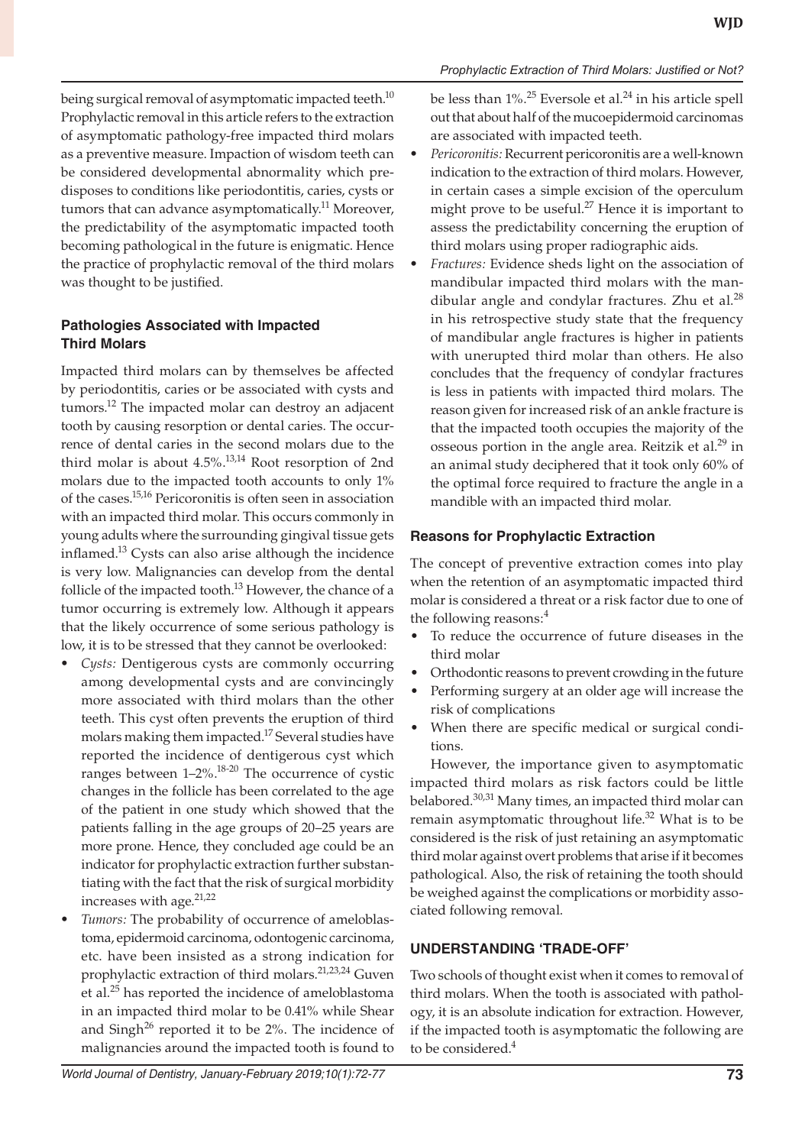being surgical removal of asymptomatic impacted teeth.<sup>10</sup> Prophylactic removal in this article refers to the extraction of asymptomatic pathology-free impacted third molars as a preventive measure. Impaction of wisdom teeth can be considered developmental abnormality which predisposes to conditions like periodontitis, caries, cysts or tumors that can advance asymptomatically.<sup>11</sup> Moreover, the predictability of the asymptomatic impacted tooth becoming pathological in the future is enigmatic. Hence the practice of prophylactic removal of the third molars was thought to be justified.

## **Pathologies Associated with Impacted Third Molars**

Impacted third molars can by themselves be affected by periodontitis, caries or be associated with cysts and tumors.<sup>12</sup> The impacted molar can destroy an adjacent tooth by causing resorption or dental caries. The occurrence of dental caries in the second molars due to the third molar is about 4.5%.<sup>13,14</sup> Root resorption of 2nd molars due to the impacted tooth accounts to only 1% of the cases.15,16 Pericoronitis is often seen in association with an impacted third molar. This occurs commonly in young adults where the surrounding gingival tissue gets inflamed.<sup>13</sup> Cysts can also arise although the incidence is very low. Malignancies can develop from the dental follicle of the impacted tooth.<sup>13</sup> However, the chance of a tumor occurring is extremely low. Although it appears that the likely occurrence of some serious pathology is low, it is to be stressed that they cannot be overlooked:

- *• Cysts:* Dentigerous cysts are commonly occurring among developmental cysts and are convincingly more associated with third molars than the other teeth. This cyst often prevents the eruption of third molars making them impacted.<sup>17</sup> Several studies have reported the incidence of dentigerous cyst which ranges between 1–2%.18-20 The occurrence of cystic changes in the follicle has been correlated to the age of the patient in one study which showed that the patients falling in the age groups of 20–25 years are more prone. Hence, they concluded age could be an indicator for prophylactic extraction further substantiating with the fact that the risk of surgical morbidity increases with age. $21,22$
- *• Tumors:* The probability of occurrence of ameloblastoma, epidermoid carcinoma, odontogenic carcinoma, etc. have been insisted as a strong indication for prophylactic extraction of third molars.21,23,24 Guven et al.<sup>25</sup> has reported the incidence of ameloblastoma in an impacted third molar to be 0.41% while Shear and Singh<sup>26</sup> reported it to be  $2\%$ . The incidence of malignancies around the impacted tooth is found to

be less than  $1\%$ .<sup>25</sup> Eversole et al.<sup>24</sup> in his article spell out that about half of the mucoepidermoid carcinomas are associated with impacted teeth.

- *• Pericoronitis:* Recurrent pericoronitis are a well-known indication to the extraction of third molars. However, in certain cases a simple excision of the operculum might prove to be useful.<sup>27</sup> Hence it is important to assess the predictability concerning the eruption of third molars using proper radiographic aids.
- *• Fractures:* Evidence sheds light on the association of mandibular impacted third molars with the mandibular angle and condylar fractures. Zhu et al. $^{28}$ in his retrospective study state that the frequency of mandibular angle fractures is higher in patients with unerupted third molar than others. He also concludes that the frequency of condylar fractures is less in patients with impacted third molars. The reason given for increased risk of an ankle fracture is that the impacted tooth occupies the majority of the osseous portion in the angle area. Reitzik et al.<sup>29</sup> in an animal study deciphered that it took only 60% of the optimal force required to fracture the angle in a mandible with an impacted third molar.

#### **Reasons for Prophylactic Extraction**

The concept of preventive extraction comes into play when the retention of an asymptomatic impacted third molar is considered a threat or a risk factor due to one of the following reasons:<sup>4</sup>

- To reduce the occurrence of future diseases in the third molar
- Orthodontic reasons to prevent crowding in the future
- Performing surgery at an older age will increase the risk of complications
- When there are specific medical or surgical conditions.

However, the importance given to asymptomatic impacted third molars as risk factors could be little belabored.<sup>30,31</sup> Many times, an impacted third molar can remain asymptomatic throughout life. $32$  What is to be considered is the risk of just retaining an asymptomatic third molar against overt problems that arise if it becomes pathological. Also, the risk of retaining the tooth should be weighed against the complications or morbidity associated following removal.

#### **UNDERSTANDING 'TRADE-OFF'**

Two schools of thought exist when it comes to removal of third molars. When the tooth is associated with pathology, it is an absolute indication for extraction. However, if the impacted tooth is asymptomatic the following are to be considered.<sup>4</sup>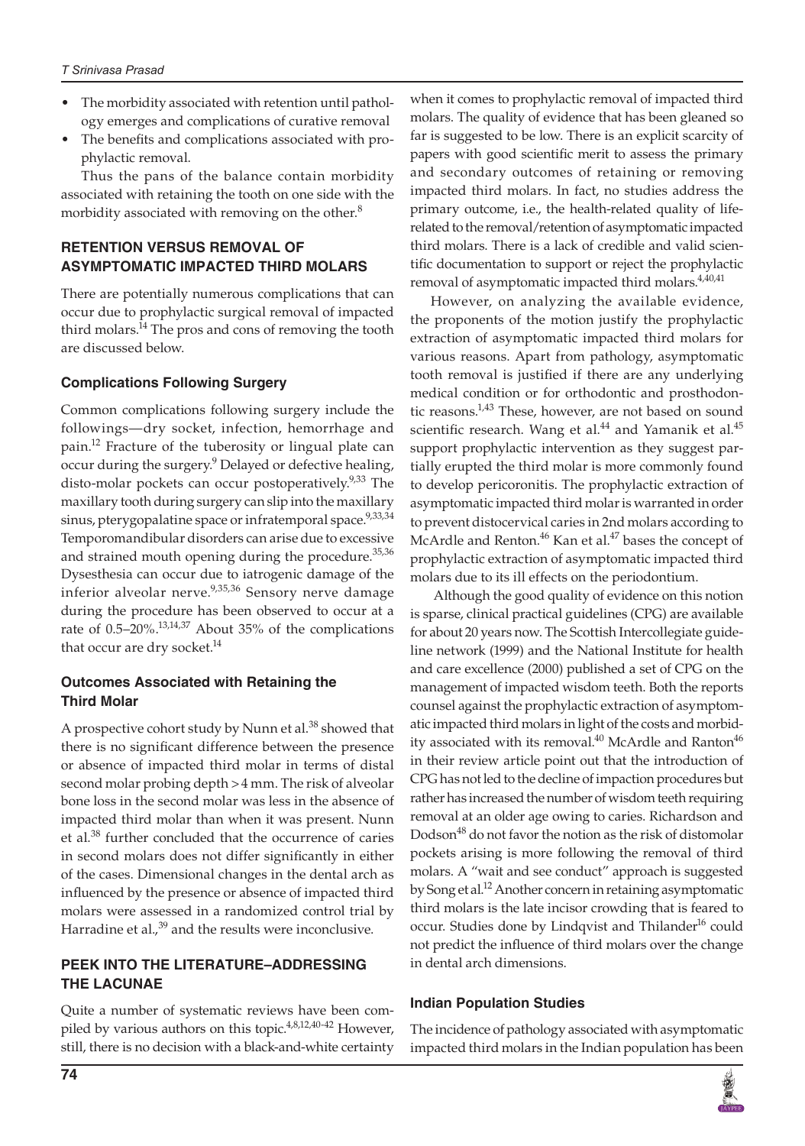- The morbidity associated with retention until pathology emerges and complications of curative removal
- The benefits and complications associated with prophylactic removal.

Thus the pans of the balance contain morbidity associated with retaining the tooth on one side with the morbidity associated with removing on the other.<sup>8</sup>

## **RETENTION VERSUS REMOVAL OF ASYMPTOMATIC IMPACTED THIRD MOLARS**

There are potentially numerous complications that can occur due to prophylactic surgical removal of impacted third molars.<sup>14</sup> The pros and cons of removing the tooth are discussed below.

## **Complications Following Surgery**

Common complications following surgery include the followings—dry socket, infection, hemorrhage and pain.<sup>12</sup> Fracture of the tuberosity or lingual plate can occur during the surgery.<sup>9</sup> Delayed or defective healing, disto-molar pockets can occur postoperatively.<sup>9,33</sup> The maxillary tooth during surgery can slip into the maxillary sinus, pterygopalatine space or infratemporal space.<sup>9,33,34</sup> Temporomandibular disorders can arise due to excessive and strained mouth opening during the procedure. $35,36$ Dysesthesia can occur due to iatrogenic damage of the inferior alveolar nerve.<sup>9,35,36</sup> Sensory nerve damage during the procedure has been observed to occur at a rate of 0.5–20%.13,14,37 About 35% of the complications that occur are dry socket.<sup>14</sup>

#### **Outcomes Associated with Retaining the Third Molar**

A prospective cohort study by Nunn et al.<sup>38</sup> showed that there is no significant difference between the presence or absence of impacted third molar in terms of distal second molar probing depth >4 mm. The risk of alveolar bone loss in the second molar was less in the absence of impacted third molar than when it was present. Nunn et al.38 further concluded that the occurrence of caries in second molars does not differ significantly in either of the cases. Dimensional changes in the dental arch as influenced by the presence or absence of impacted third molars were assessed in a randomized control trial by Harradine et al., $39$  and the results were inconclusive.

#### **PEEK INTO THE LITERATURE–ADDRESSING THE LACUNAE**

Quite a number of systematic reviews have been compiled by various authors on this topic. $4,8,12,40-42$  However, still, there is no decision with a black-and-white certainty

when it comes to prophylactic removal of impacted third molars. The quality of evidence that has been gleaned so far is suggested to be low. There is an explicit scarcity of papers with good scientific merit to assess the primary and secondary outcomes of retaining or removing impacted third molars. In fact, no studies address the primary outcome, i.e., the health-related quality of liferelated to the removal/retention of asymptomatic impacted third molars. There is a lack of credible and valid scientific documentation to support or reject the prophylactic removal of asymptomatic impacted third molars.<sup>4,40,41</sup>

However, on analyzing the available evidence, the proponents of the motion justify the prophylactic extraction of asymptomatic impacted third molars for various reasons. Apart from pathology, asymptomatic tooth removal is justified if there are any underlying medical condition or for orthodontic and prosthodontic reasons.<sup>1,43</sup> These, however, are not based on sound scientific research. Wang et al. $44$  and Yamanik et al. $45$ support prophylactic intervention as they suggest partially erupted the third molar is more commonly found to develop pericoronitis. The prophylactic extraction of asymptomatic impacted third molar is warranted in order to prevent distocervical caries in 2nd molars according to McArdle and Renton.<sup>46</sup> Kan et al.<sup>47</sup> bases the concept of prophylactic extraction of asymptomatic impacted third molars due to its ill effects on the periodontium.

 Although the good quality of evidence on this notion is sparse, clinical practical guidelines (CPG) are available for about 20 years now. The Scottish Intercollegiate guideline network (1999) and the National Institute for health and care excellence (2000) published a set of CPG on the management of impacted wisdom teeth. Both the reports counsel against the prophylactic extraction of asymptomatic impacted third molars in light of the costs and morbidity associated with its removal.<sup>40</sup> McArdle and Ranton<sup>46</sup> in their review article point out that the introduction of CPG has not led to the decline of impaction procedures but rather has increased the number of wisdom teeth requiring removal at an older age owing to caries. Richardson and Dodson<sup>48</sup> do not favor the notion as the risk of distomolar pockets arising is more following the removal of third molars. A "wait and see conduct" approach is suggested by Song et al.<sup>12</sup> Another concern in retaining asymptomatic third molars is the late incisor crowding that is feared to occur. Studies done by Lindqvist and Thilander<sup>16</sup> could not predict the influence of third molars over the change in dental arch dimensions.

#### **Indian Population Studies**

The incidence of pathology associated with asymptomatic impacted third molars in the Indian population has been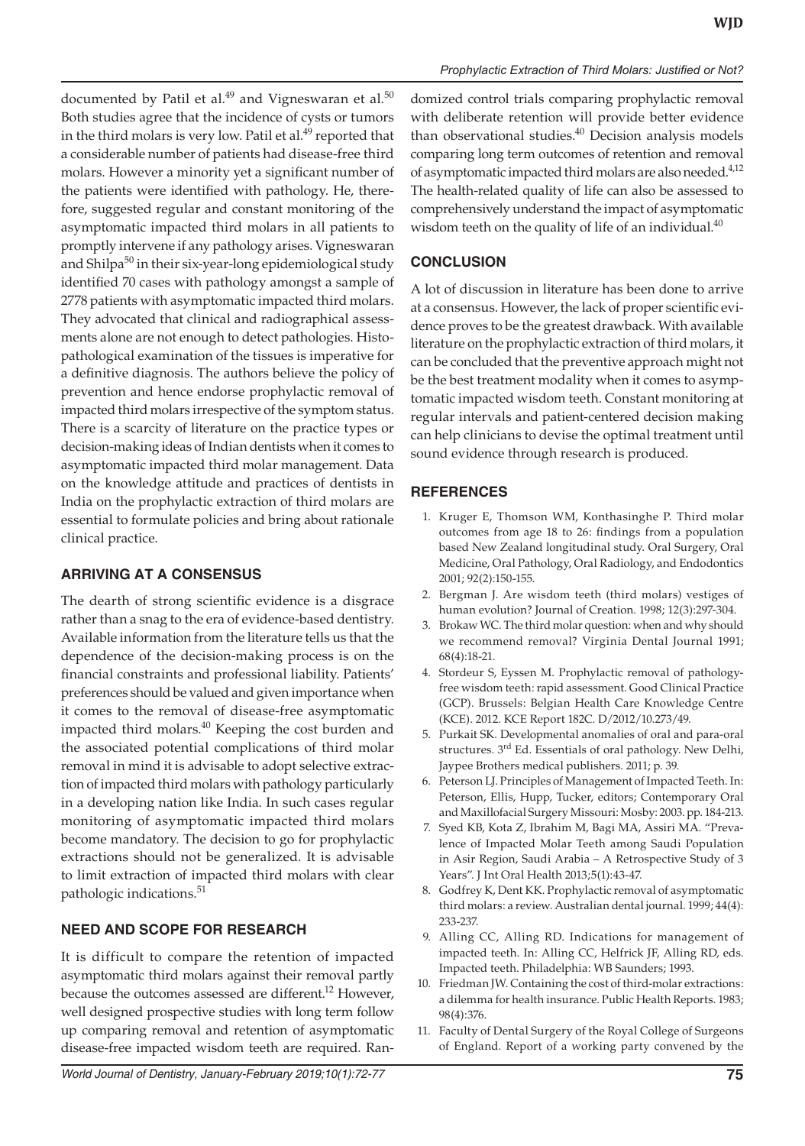documented by Patil et al.<sup>49</sup> and Vigneswaran et al.<sup>50</sup> Both studies agree that the incidence of cysts or tumors in the third molars is very low. Patil et al.<sup>49</sup> reported that a considerable number of patients had disease-free third molars. However a minority yet a significant number of the patients were identified with pathology. He, therefore, suggested regular and constant monitoring of the asymptomatic impacted third molars in all patients to promptly intervene if any pathology arises. Vigneswaran and Shilpa<sup>50</sup> in their six-year-long epidemiological study identified 70 cases with pathology amongst a sample of 2778 patients with asymptomatic impacted third molars. They advocated that clinical and radiographical assessments alone are not enough to detect pathologies. Histopathological examination of the tissues is imperative for a definitive diagnosis. The authors believe the policy of prevention and hence endorse prophylactic removal of impacted third molars irrespective of the symptom status. There is a scarcity of literature on the practice types or decision-making ideas of Indian dentists when it comes to asymptomatic impacted third molar management. Data on the knowledge attitude and practices of dentists in India on the prophylactic extraction of third molars are essential to formulate policies and bring about rationale clinical practice.

## **ARRIVING AT A CONSENSUS**

The dearth of strong scientific evidence is a disgrace rather than a snag to the era of evidence-based dentistry. Available information from the literature tells us that the dependence of the decision-making process is on the financial constraints and professional liability. Patients' preferences should be valued and given importance when it comes to the removal of disease-free asymptomatic impacted third molars. $40$  Keeping the cost burden and the associated potential complications of third molar removal in mind it is advisable to adopt selective extraction of impacted third molars with pathology particularly in a developing nation like India. In such cases regular monitoring of asymptomatic impacted third molars become mandatory. The decision to go for prophylactic extractions should not be generalized. It is advisable to limit extraction of impacted third molars with clear pathologic indications.<sup>51</sup>

## **NEED AND SCOPE FOR RESEARCH**

It is difficult to compare the retention of impacted asymptomatic third molars against their removal partly because the outcomes assessed are different.<sup>12</sup> However, well designed prospective studies with long term follow up comparing removal and retention of asymptomatic disease-free impacted wisdom teeth are required. Randomized control trials comparing prophylactic removal with deliberate retention will provide better evidence than observational studies.<sup>40</sup> Decision analysis models comparing long term outcomes of retention and removal of asymptomatic impacted third molars are also needed.<sup>4,12</sup> The health-related quality of life can also be assessed to comprehensively understand the impact of asymptomatic wisdom teeth on the quality of life of an individual. $40$ 

*Prophylactic Extraction of Third Molars: Justified or Not?*

## **CONCLUSION**

A lot of discussion in literature has been done to arrive at a consensus. However, the lack of proper scientific evidence proves to be the greatest drawback. With available literature on the prophylactic extraction of third molars, it can be concluded that the preventive approach might not be the best treatment modality when it comes to asymptomatic impacted wisdom teeth. Constant monitoring at regular intervals and patient-centered decision making can help clinicians to devise the optimal treatment until sound evidence through research is produced.

## **REFERENCES**

- 1. Kruger E, Thomson WM, Konthasinghe P. Third molar outcomes from age 18 to 26: findings from a population based New Zealand longitudinal study. Oral Surgery, Oral Medicine, Oral Pathology, Oral Radiology, and Endodontics 2001; 92(2):150-155.
- 2. Bergman J. Are wisdom teeth (third molars) vestiges of human evolution? Journal of Creation. 1998; 12(3):297-304.
- 3. Brokaw WC. The third molar question: when and why should we recommend removal? Virginia Dental Journal 1991; 68(4):18-21.
- 4. Stordeur S, Eyssen M. Prophylactic removal of pathologyfree wisdom teeth: rapid assessment. Good Clinical Practice (GCP). Brussels: Belgian Health Care Knowledge Centre (KCE). 2012. KCE Report 182C. D/2012/10.273/49.
- 5. Purkait SK. Developmental anomalies of oral and para-oral structures. 3<sup>rd</sup> Ed. Essentials of oral pathology. New Delhi, Jaypee Brothers medical publishers. 2011; p. 39.
- 6. Peterson LJ. Principles of Management of Impacted Teeth. In: Peterson, Ellis, Hupp, Tucker, editors; Contemporary Oral and Maxillofacial Surgery Missouri: Mosby: 2003. pp. 184-213.
- 7. Syed KB, Kota Z, Ibrahim M, Bagi MA, Assiri MA. "Prevalence of Impacted Molar Teeth among Saudi Population in Asir Region, Saudi Arabia – A Retrospective Study of 3 Years". J Int Oral Health 2013;5(1):43-47.
- 8. Godfrey K, Dent KK. Prophylactic removal of asymptomatic third molars: a review. Australian dental journal. 1999; 44(4): 233-237.
- 9. Alling CC, Alling RD. Indications for management of impacted teeth. In: Alling CC, Helfrick JF, Alling RD, eds. Impacted teeth. Philadelphia: WB Saunders; 1993.
- 10. Friedman JW. Containing the cost of third-molar extractions: a dilemma for health insurance. Public Health Reports. 1983; 98(4):376.
- 11. Faculty of Dental Surgery of the Royal College of Surgeons of England. Report of a working party convened by the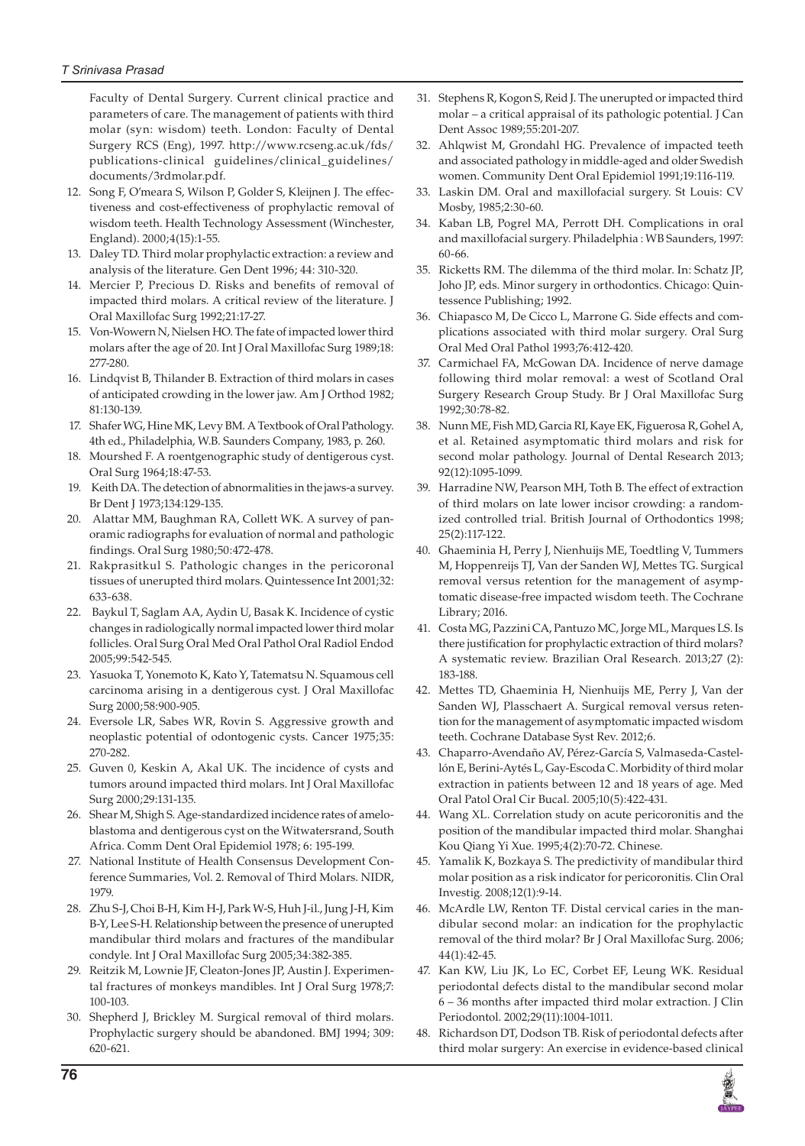Faculty of Dental Surgery. Current clinical practice and parameters of care. The management of patients with third molar (syn: wisdom) teeth. London: Faculty of Dental Surgery RCS (Eng), 1997. http://www.rcseng.ac.uk/fds/ publications-clinical guidelines/clinical\_guidelines/ documents/3rdmolar.pdf.

- 12. Song F, O'meara S, Wilson P, Golder S, Kleijnen J. The effectiveness and cost-effectiveness of prophylactic removal of wisdom teeth. Health Technology Assessment (Winchester, England). 2000;4(15):1-55.
- 13. Daley TD. Third molar prophylactic extraction: a review and analysis of the literature. Gen Dent 1996; 44: 310-320.
- 14. Mercier P, Precious D. Risks and benefits of removal of impacted third molars. A critical review of the literature. J Oral Maxillofac Surg 1992;21:17-27.
- 15. Von-Wowern N, Nielsen HO. The fate of impacted lower third molars after the age of 20. Int J Oral Maxillofac Surg 1989;18: 277-280.
- 16. Lindqvist B, Thilander B. Extraction of third molars in cases of anticipated crowding in the lower jaw. Am J Orthod 1982; 81:130-139.
- 17. Shafer WG, Hine MK, Levy BM. A Textbook of Oral Pathology. 4th ed., Philadelphia, W.B. Saunders Company, 1983, p. 260.
- 18. Mourshed F. A roentgenographic study of dentigerous cyst. Oral Surg 1964;18:47-53.
- 19. Keith DA. The detection of abnormalities in the jaws-a survey. Br Dent J 1973;134:129-135.
- 20. Alattar MM, Baughman RA, Collett WK. A survey of panoramic radiographs for evaluation of normal and pathologic findings. Oral Surg 1980;50:472-478.
- 21. Rakprasitkul S. Pathologic changes in the pericoronal tissues of unerupted third molars. Quintessence Int 2001;32: 633-638.
- 22. Baykul T, Saglam AA, Aydin U, Basak K. Incidence of cystic changes in radiologically normal impacted lower third molar follicles. Oral Surg Oral Med Oral Pathol Oral Radiol Endod 2005;99:542-545.
- 23. Yasuoka T, Yonemoto K, Kato Y, Tatematsu N. Squamous cell carcinoma arising in a dentigerous cyst. J Oral Maxillofac Surg 2000;58:900-905.
- 24. Eversole LR, Sabes WR, Rovin S. Aggressive growth and neoplastic potential of odontogenic cysts. Cancer 1975;35: 270-282.
- 25. Guven 0, Keskin A, Akal UK. The incidence of cysts and tumors around impacted third molars. Int J Oral Maxillofac Surg 2000;29:131-135.
- 26. Shear M, Shigh S. Age-standardized incidence rates of ameloblastoma and dentigerous cyst on the Witwatersrand, South Africa. Comm Dent Oral Epidemiol 1978; 6: 195-199.
- 27. National Institute of Health Consensus Development Conference Summaries, Vol. 2. Removal of Third Molars. NIDR, 1979.
- 28. Zhu S-J, Choi B-H, Kim H-J, Park W-S, Huh J-il., Jung J-H, Kim B-Y, Lee S-H. Relationship between the presence of unerupted mandibular third molars and fractures of the mandibular condyle. Int J Oral Maxillofac Surg 2005;34:382-385.
- 29. Reitzik M, Lownie JF, Cleaton-Jones JP, Austin J. Experimental fractures of monkeys mandibles. Int J Oral Surg 1978;7: 100-103.
- 30. Shepherd J, Brickley M. Surgical removal of third molars. Prophylactic surgery should be abandoned. BMJ 1994; 309: 620-621.
- 31. Stephens R, Kogon S, Reid J. The unerupted or impacted third molar – a critical appraisal of its pathologic potential. J Can Dent Assoc 1989;55:201-207.
- 32. Ahlqwist M, Grondahl HG. Prevalence of impacted teeth and associated pathology in middle-aged and older Swedish women. Community Dent Oral Epidemiol 1991;19:116-119.
- 33. Laskin DM. Oral and maxillofacial surgery. St Louis: CV Mosby, 1985;2:30-60.
- 34. Kaban LB, Pogrel MA, Perrott DH. Complications in oral and maxillofacial surgery. Philadelphia : WB Saunders, 1997: 60-66.
- 35. Ricketts RM. The dilemma of the third molar. In: Schatz JP, Joho JP, eds. Minor surgery in orthodontics. Chicago: Quintessence Publishing; 1992.
- 36. Chiapasco M, De Cicco L, Marrone G. Side effects and complications associated with third molar surgery. Oral Surg Oral Med Oral Pathol 1993;76:412-420.
- 37. Carmichael FA, McGowan DA. Incidence of nerve damage following third molar removal: a west of Scotland Oral Surgery Research Group Study. Br J Oral Maxillofac Surg 1992;30:78-82.
- 38. Nunn ME, Fish MD, Garcia RI, Kaye EK, Figuerosa R, Gohel A, et al. Retained asymptomatic third molars and risk for second molar pathology. Journal of Dental Research 2013; 92(12):1095-1099.
- 39. Harradine NW, Pearson MH, Toth B. The effect of extraction of third molars on late lower incisor crowding: a randomized controlled trial. British Journal of Orthodontics 1998; 25(2):117-122.
- 40. Ghaeminia H, Perry J, Nienhuijs ME, Toedtling V, Tummers M, Hoppenreijs TJ, Van der Sanden WJ, Mettes TG. Surgical removal versus retention for the management of asymptomatic disease‐free impacted wisdom teeth. The Cochrane Library; 2016.
- 41. Costa MG, Pazzini CA, Pantuzo MC, Jorge ML, Marques LS. Is there justification for prophylactic extraction of third molars? A systematic review. Brazilian Oral Research. 2013;27 (2): 183-188.
- 42. Mettes TD, Ghaeminia H, Nienhuijs ME, Perry J, Van der Sanden WJ, Plasschaert A. Surgical removal versus retention for the management of asymptomatic impacted wisdom teeth. Cochrane Database Syst Rev. 2012;6.
- 43. Chaparro-Avendaño AV, Pérez-García S, Valmaseda-Castellón E, Berini-Aytés L, Gay-Escoda C. Morbidity of third molar extraction in patients between 12 and 18 years of age. Med Oral Patol Oral Cir Bucal. 2005;10(5):422-431.
- 44. Wang XL. Correlation study on acute pericoronitis and the position of the mandibular impacted third molar. Shanghai Kou Qiang Yi Xue. 1995;4(2):70-72. Chinese.
- 45. Yamalik K, Bozkaya S. The predictivity of mandibular third molar position as a risk indicator for pericoronitis. Clin Oral Investig. 2008;12(1):9-14.
- 46. McArdle LW, Renton TF. Distal cervical caries in the mandibular second molar: an indication for the prophylactic removal of the third molar? Br J Oral Maxillofac Surg. 2006; 44(1):42-45.
- 47. Kan KW, Liu JK, Lo EC, Corbet EF, Leung WK. Residual periodontal defects distal to the mandibular second molar 6 – 36 months after impacted third molar extraction. J Clin Periodontol. 2002;29(11):1004-1011.
- 48. Richardson DT, Dodson TB. Risk of periodontal defects after third molar surgery: An exercise in evidence-based clinical